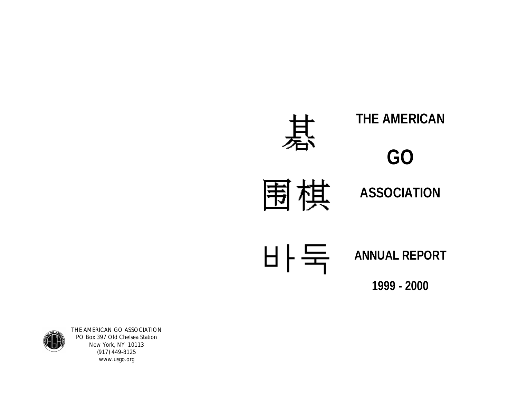



THE AMERICAN GO ASSOCIATION PO Box 397 Old Chelsea Station New York, NY 10113 (917) 449-8125 www.usgo.org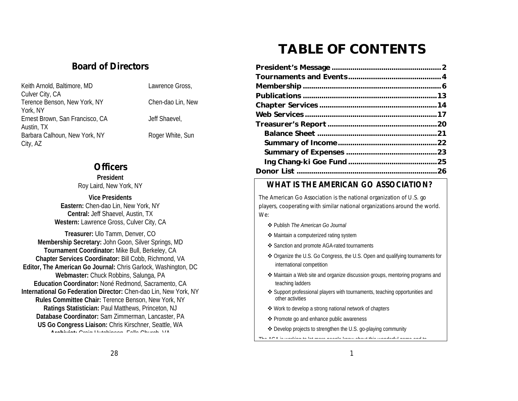# **TABLE OF CONTENTS**

## *Board of Directors*

| Keith Arnold, Baltimore, MD     | Lawrence Gross,   |
|---------------------------------|-------------------|
| Culver City, CA                 |                   |
| Terence Benson, New York, NY    | Chen-dao Lin, New |
| York, NY                        |                   |
| Ernest Brown, San Francisco, CA | Jeff Shaevel,     |
| Austin, TX                      |                   |
| Barbara Calhoun, New York, NY   | Roger White, Sun  |
| City, AZ                        |                   |

## *Officers*

**President** Roy Laird, New York, NY

**Vice Presidents Eastern:** Chen-dao Lin, New York, NY

**Central:** Jeff Shaevel, Austin, TX **Western:** Lawrence Gross, Culver City, CA

**Treasurer:** Ulo Tamm, Denver, CO **Membership Secretary:** John Goon, Silver Springs, MD **Tournament Coordinator:** Mike Bull, Berkeley, CA **Chapter Services Coordinator:** Bill Cobb, Richmond, VA **Editor, The American Go Journal:** Chris Garlock, Washington, DC **Webmaster:** Chuck Robbins, Salunga, PA **Education Coordinator:** Noné Redmond, Sacramento, CA **International Go Federation Director:** Chen-dao Lin, New York, NY **Rules Committee Chair:** Terence Benson, New York, NY **Ratings Statistician:** Paul Matthews, Princeton, NJ **Database Coordinator:** Sam Zimmerman, Lancaster, PA **US Go Congress Liaison:** Chris Kirschner, Seattle, WA **Archivist:** Craig Hutchinson, Falls Church, VA

## **WHAT IS THE AMERICAN GO ASSOCIATION?**

The American Go Association is the national organization of U.S. go players, cooperating with similar national organizations around the world. We:

- v Publish *The American Go Journal*
- ◆ Maintain a computerized rating system
- v Sanction and promote AGA-rated tournaments
- v Organize the U.S. Go Congress, the U.S. Open and qualifying tournaments for international competition
- v Maintain a Web site and organize discussion groups, mentoring programs and teaching ladders
- \* Support professional players with tournaments, teaching opportunities and other activities
- v Work to develop a strong national network of chapters
- ❖ Promote go and enhance public awareness
- v Develop projects to strengthen the U.S. go-playing community

The AGA is working to let more people know about this wonderful game and to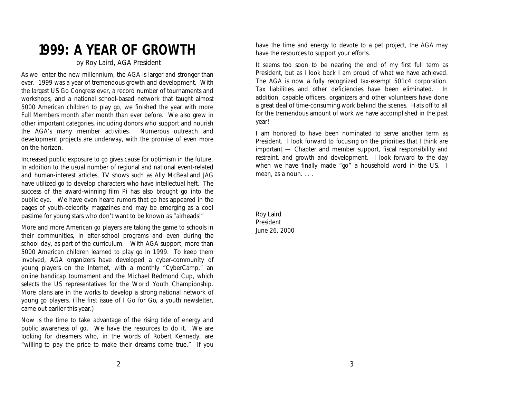## **1999: A YEAR OF GROWTH**

#### *by Roy Laird, AGA President*

As we enter the new millennium, the AGA is larger and stronger than ever. 1999 was a year of tremendous growth and development. With the largest US Go Congress ever, a record number of tournaments and workshops, and a national school-based network that taught almost 5000 American children to play go, we finished the year with more Full Members month after month than ever before. We also grew in other important categories, including donors who support and nourish the AGA's many member activities. Numerous outreach and development projects are underway, with the promise of even more on the horizon.

Increased public exposure to go gives cause for optimism in the future. In addition to the usual number of regional and national event-related and human-interest articles, TV shows such as *Ally McBeal* and *JAG* have utilized go to develop characters who have intellectual heft. The success of the award-winning film *Pi* has also brought go into the public eye. We have even heard rumors that go has appeared in the pages of youth-celebrity magazines and may be emerging as a cool pastime for young stars who don't want to be known as "airheads!"

More and more American go players are taking the game to schools in their communities, in after-school programs and even during the school day, as part of the curriculum. With AGA support, more than 5000 American children learned to play go in 1999. To keep them involved, AGA organizers have developed a cyber-community of young players on the Internet, with a monthly "CyberCamp," an online handicap tournament and the Michael Redmond Cup, which selects the US representatives for the World Youth Championship. More plans are in the works to develop a strong national network of young go players. (The first issue of *I Go for Go*, a youth newsletter, came out earlier this year.)

Now is the time to take advantage of the rising tide of energy and public awareness of go. We have the resources to do it. We are looking for dreamers who, in the words of Robert Kennedy, are "willing to pay the price to make their dreams come true." If you have the time and energy to devote to a pet project, the AGA may have the resources to support your efforts.

It seems too soon to be nearing the end of my first full term as President, but as I look back I am proud of what we have achieved. The AGA is now a fully recognized tax-exempt 501c4 corporation. Tax liabilities and other deficiencies have been eliminated. In addition, capable officers, organizers and other volunteers have done a great deal of time-consuming work behind the scenes. Hats off to all for the tremendous amount of work we have accomplished in the past year!

I am honored to have been nominated to serve another term as President. I look forward to focusing on the priorities that I think are important — Chapter and member support, fiscal responsibility and restraint, and growth and development. I look forward to the day when we have finally made "go" a household word in the US. I mean, as a noun. . . .

Roy Laird President June 26, 2000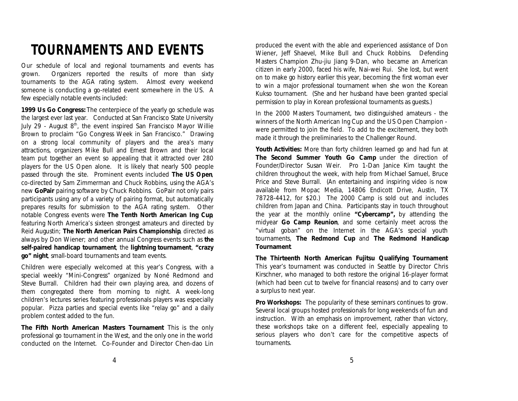# **TOURNAMENTS AND EVENTS**

Our schedule of local and regional tournaments and events has grown. Organizers reported the results of more than sixty tournaments to the AGA rating system. Almost every weekend someone is conducting a go-related event somewhere in the US. A few especially notable events included:

*1999 Us Go Congress:* The centerpiece of the yearly go schedule was the largest ever last year. Conducted at San Francisco State University July 29 - August  $8<sup>th</sup>$ , the event inspired San Francisco Mayor Willie Brown to proclaim "Go Congress Week in San Francisco." Drawing on a strong local community of players and the area's many attractions, organizers Mike Bull and Ernest Brown and their local team put together an event so appealing that it attracted over 280 players for the US Open alone. It is likely that nearly 500 people passed through the site. Prominent events included *The US Open*, co-directed by Sam Zimmerman and Chuck Robbins, using the AGA's new *GoPair* pairing software by Chuck Robbins. GoPair not only pairs participants using any of a variety of pairing format, but automatically prepares results for submission to the AGA rating system. Other notable Congress events were *The Tenth North American Ing Cup*, featuring North America's sixteen strongest amateurs and directed by Reid Augustin; *The North American Pairs Championship*, directed as always by Don Wiener; and other annual Congress events such as *the self-paired handicap tournament*, the *lightning tournament*, *"crazy go" night*, small-board tournaments and team events.

Children were especially welcomed at this year's Congress, with a special weekly "Mini-Congress" organized by Noné Redmond and Steve Burrall. Children had their own playing area, and dozens of them congregated there from morning to night. A week-long children's lectures series featuring professionals players was especially popular. Pizza parties and special events like "relay go" and a daily problem contest added to the fun.

*The Fifth North American Masters Tournament*: This is the only professional go tournament in the West, and the only one in the world conducted on the Internet. Co-Founder and Director Chen-dao Lin produced the event with the able and experienced assistance of Don Wiener, Jeff Shaevel, Mike Bull and Chuck Robbins. Defending Masters Champion Zhu-jiu Jiang 9-Dan, who became an American citizen in early 2000, faced his wife, Nai-wei Rui. She lost, but went on to make go history earlier this year, becoming the first woman ever to win a major professional tournament when she won the Korean Kukso tournament. (She and her husband have been granted special permission to play in Korean professional tournaments as guests.)

In the 2000 Masters Tournament, two distinguished amateurs - the winners of the North American Ing Cup and the US Open Champion were permitted to join the field. To add to the excitement, they both made it through the preliminaries to the Challenger Round.

*Youth Activities:* More than forty children learned go and had fun at *The Second Summer Youth Go Camp* under the direction of Founder/Director Susan Weir. Pro 1-Dan Janice Kim taught the children throughout the week, with help from Michael Samuel, Bruce Price and Steve Burrall. (An entertaining and inspiring video is now available from Mopac Media, 14806 Endicott Drive, Austin, TX 78728-4412, for \$20.) The 2000 Camp is sold out and includes children from Japan and China. Participants stay in touch throughout the year at the monthly online *"Cybercamp",* by attending the midyear *Go Camp Reunion*, and some certainly meet across the "virtual goban" on the Internet in the AGA's special youth tournaments, *The Redmond Cup* and *The Redmond Handicap Tournament*.

*The Thirteenth North American Fujitsu Qualifying Tournament*: This year's tournament was conducted in Seattle by Director Chris Kirschner, who managed to both restore the original 16-player format (which had been cut to twelve for financial reasons) and to carry over a surplus to next year.

**Pro Workshops:** The popularity of these seminars continues to grow. Several local groups hosted professionals for long weekends of fun and instruction. With an emphasis on improvement, rather than victory, these workshops take on a different feel, especially appealing to serious players who don't care for the competitive aspects of tournaments.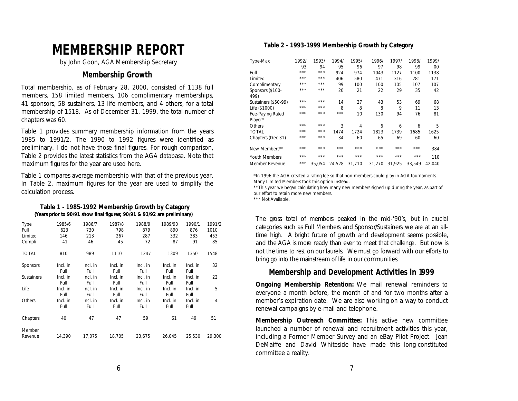# **MEMBERSHIP REPORT**

*by John Goon, AGA Membership Secretary*

#### **Membership Growth**

Total membership, as of February 28, 2000, consisted of 1138 full members, 158 limited members, 106 complimentary memberships, 41 sponsors, 58 sustainers, 13 life members, and 4 others, for a total membership of 1518. As of December 31, 1999, the total number of chapters was 60.

Table 1 provides summary membership information from the years 1985 to 1991/2. The 1990 to 1992 figures were identified as preliminary. I do not have those final figures. For rough comparison, Table 2 provides the latest statistics from the AGA database. Note that maximum figures for the year are used here.

Table 1 compares average membership with that of the previous year. In Table 2, maximum figures for the year are used to simplify the calculation process.

#### **Table 1 - 1985-1992 Membership Growth by Category (Years prior to 90/91 show final figures; 90/91 & 91/92 are preliminary)**

| <b>Type</b>       | 1985/6           | 1986/7           | 1987/8           | 1988/9           | 1989/90          | 1990/1           | 1991/2 |
|-------------------|------------------|------------------|------------------|------------------|------------------|------------------|--------|
| Full              | 623              | 730              | 798              | 879              | 890              | 876              | 1010   |
| Limited           | 146              | 213              | 267              | 287              | 332              | 383              | 453    |
| Compli            | 41               | 46               | 45               | 72               | 87               | 91               | 85     |
| TOTAL             | 810              | 989              | 1110             | 1247             | 1309             | 1350             | 1548   |
| <b>Sponsors</b>   | Incl. in<br>Full | Incl. in<br>Full | Incl. in<br>Full | Incl. in<br>Full | Incl. in<br>Full | Incl. in<br>Full | 32     |
| <b>Sustainers</b> | Incl. in<br>Full | Incl. in<br>Full | Incl. in<br>Full | Incl. in<br>Full | Incl. in<br>Full | Incl. in<br>Full | 22     |
| Life              | Incl. in<br>Full | Incl. in<br>Full | Incl. in<br>Full | Incl. in<br>Full | Incl. in<br>Full | Incl. in<br>Full | 5      |
| Others            | Incl. in<br>Full | Incl. in<br>Full | Incl. in<br>Full | Incl. in<br>Full | Incl. in<br>Full | Incl. in<br>Full | 4      |
| Chapters          | 40               | 47               | 47               | 59               | 61               | 49               | 51     |
| Member<br>Revenue | 14,390           | 17,075           | 18,705           | 23,675           | 26,045           | 25,530           | 29.300 |

#### **Table 2 - 1993-1999 Membership Growth by Category**

| Type-Max             | 1992/ | 1993/  | 1994/  | 1995/          | 1996/  | 1997/  | 1998/  | 1999/          |
|----------------------|-------|--------|--------|----------------|--------|--------|--------|----------------|
|                      | 93    | 94     | 95     | 96             | 97     | 98     | 99     | 0 <sub>0</sub> |
| Full                 | ***   | ***    | 924    | 974            | 1043   | 1127   | 1100   | 1138           |
| Limited              | ***   | ***    | 406    | 580            | 471    | 316    | 281    | 171            |
| Complimentary        | ***   | ***    | 99     | 100            | 100    | 105    | 107    | 107            |
| Sponsors (\$100-     | ***   | ***    | 20     | 21             | 22     | 29     | 35     | 42             |
| 499)                 |       |        |        |                |        |        |        |                |
| Sustainers (\$50-99) | ***   | ***    | 14     | 27             | 43     | 53     | 69     | 68             |
| Life $(S1000)$       | ***   | ***    | 8      | 8              | 8      | 9      | 11     | 13             |
| Fee-Paying Rated     | ***   | ***    | ***    | 10             | 130    | 94     | 76     | 81             |
| Player*              |       |        |        |                |        |        |        |                |
| Others               | ***   | ***    | 3      | $\overline{4}$ | 6      | 6      | 6      | 5              |
| <b>TOTAL</b>         | ***   | ***    | 1474   | 1724           | 1823   | 1739   | 1685   | 1625           |
| Chapters (Dec 31)    | ***   | ***    | 34     | 60             | 65     | 69     | 60     | 60             |
| New Members**        | ***   | ***    | ***    | ***            | ***    | ***    | ***    | 384            |
|                      |       |        |        |                |        |        |        |                |
| <b>Youth Members</b> | ***   | ***    | ***    | ***            | ***    | ***    | ***    | 110            |
| Member Revenue       | ***   | 35.054 | 24.528 | 31.710         | 31.270 | 31.925 | 33.549 | 42.040         |

\*In 1996 the AGA created a rating fee so that non-members could play in AGA tournaments. Many Limited Members took this option instead.

\*\*This year we began calculating how many new members signed up during the year, as part of our effort to retain more new members.

\*\*\* Not Available.

The gross total of members peaked in the mid-'90's, but in crucial categories such as Full Members and Sponsor/Sustainers we are at an alltime high. A bright future of growth and development seems possible, and the AGA is more ready than ever to meet that challenge. But now is not the time to rest on our laurels. We must go forward with our efforts to bring go into the mainstream of life in our communities.

#### **Membership and Development Activities in 1999**

*Ongoing Membership Retention:* We mail renewal reminders to everyone a month before, the month of and for two months after a member's expiration date. We are also working on a way to conduct renewal campaigns by e-mail and telephone.

*Membership Outreach Committee:* This active new committee launched a number of renewal and recruitment activities this year, including a Former Member Survey and an eBay Pilot Project. Jean DeMaiffe and David Whiteside have made this long-constituted committee a reality.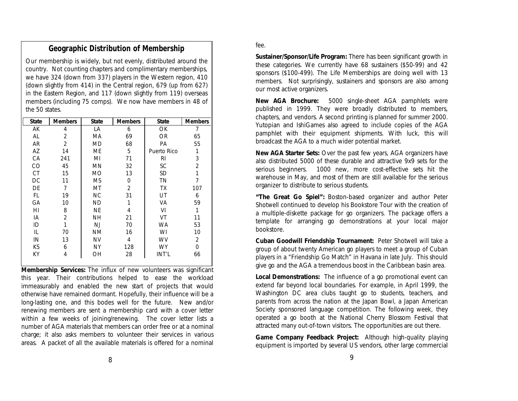## **Geographic Distribution of Membership**

Our membership is widely, but not evenly, distributed around the country. Not counting chapters and complimentary memberships, we have 324 (down from 337) players in the Western region, 410 (down slightly from 414) in the Central region, 679 (up from 627) in the Eastern Region, and 117 (down slightly from 119) overseas members (including 75 comps). We now have members in 48 of the 50 states.

| <b>State</b> | Members        | <b>State</b> | <b>Members</b> | <b>State</b> | <b>Members</b> |
|--------------|----------------|--------------|----------------|--------------|----------------|
| AK           | 4              | LA           | 6              | OK           | $\tau$         |
| AL           | $\overline{c}$ | MA           | 69             | <b>OR</b>    | 65             |
| AR           | $\overline{c}$ | MD           | 68             | PA           | 55             |
| AZ           | 14             | ME           | 5              | Puerto Rico  | $\mathbf{1}$   |
| CA           | 241            | MI           | 71             | RI           | 3              |
| CO           | 45             | MN           | 32             | SC           | 2              |
| <b>CT</b>    | 15             | MO           | 13             | SD           | 1              |
| DC           | 11             | MS           | $\theta$       | TN           | 7              |
| DE           | 7              | МT           | $\overline{c}$ | TX           | 107            |
| FL           | 19             | NC           | 31             | UT           | 6              |
| GA           | 10             | ND           | 1              | VA           | 59             |
| HI           | 8              | NE           | 4              | VI           | $\mathbf{1}$   |
| IA           | $\overline{c}$ | NH           | 21             | VT           | 11             |
| ID           | $\mathbf{1}$   | NJ           | 70             | WA           | 53             |
| Ш.           | 70             | NΜ           | 16             | WI           | 10             |
| IN           | 13             | NV           | 4              | WV           | $\mathbf{2}$   |
| KS           | 6              | NY           | 128            | WY           | 0              |
| KY           | 4              | OН           | 28             | INT'L        | 66             |

*Membership Services:* The influx of new volunteers was significant this year. Their contributions helped to ease the workload immeasurably and enabled the new start of projects that would otherwise have remained dormant. Hopefully, their influence will be a long-lasting one, and this bodes well for the future. New and/or renewing members are sent a membership card with a cover letter within a few weeks of joining/renewing. The cover letter lists a number of AGA materials that members can order free or at a nominal charge; it also asks members to volunteer their services in various areas. A packet of all the available materials is offered for a nominal

#### fee.

*Sustainer/Sponsor/Life Program:* There has been significant growth in these categories. We currently have 68 sustainers (\$50-99) and 42 sponsors (\$100-499). The Life Memberships are doing well with 13 members. Not surprisingly, sustainers and sponsors are also among our most active organizers.

*New AGA Brochure:* 5000 single-sheet AGA pamphlets were published in 1999. They were broadly distributed to members, chapters, and vendors. A second printing is planned for summer 2000. Yutopian and IshiGames also agreed to include copies of the AGA pamphlet with their equipment shipments. With luck, this will broadcast the AGA to a much wider potential market.

*New AGA Starter Sets:* Over the past few years, AGA organizers have also distributed 5000 of these durable and attractive 9x9 sets for the serious beginners. 1000 new, more cost-effective sets hit the warehouse in May, and most of them are still available for the serious organizer to distribute to serious students.

*"The Great Go Spiel":* Boston-based organizer and author Peter Shotwell continued to develop his Bookstore Tour with the creation of a multiple-diskette package for go organizers. The package offers a template for arranging go demonstrations at your local major bookstore.

*Cuban Goodwill Friendship Tournament:* Peter Shotwell will take a group of about twenty American go players to meet a group of Cuban players in a "Friendship Go Match" in Havana in late July. This should give go and the AGA a tremendous boost in the Caribbean basin area.

*Local Demonstrations:* The influence of a go promotional event can extend far beyond local boundaries. For example, in April 1999, the Washington DC area clubs taught go to students, teachers, and parents from across the nation at the Japan Bowl, a Japan American Society sponsored language competition. The following week, they operated a go booth at the National Cherry Blossom Festival that attracted many out-of-town visitors. The opportunities are out there*.*

*Game Company Feedback Project:* Although high-quality playing equipment is imported by several US vendors, other large commercial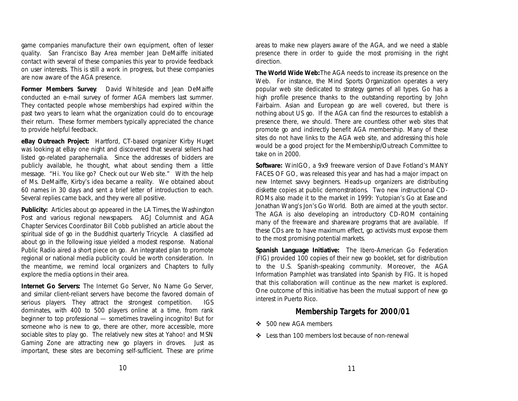game companies manufacture their own equipment, often of lesser quality. San Francisco Bay Area member Jean DeMaiffe initiated contact with several of these companies this year to provide feedback on user interests. This is still a work in progress, but these companies are now aware of the AGA presence.

*Former Members Survey*: David Whiteside and Jean DeMaiffe conducted an e-mail survey of former AGA members last summer. They contacted people whose memberships had expired within the past two years to learn what the organization could do to encourage their return. These former members typically appreciated the chance to provide helpful feedback.

*eBay Outreach Project:* Hartford, CT-based organizer Kirby Huget was looking at eBay one night and discovered that several sellers had listed go-related paraphernalia. Since the addresses of bidders are publicly available, he thought, what about sending them a little message. "Hi. You like go? Check out our Web site." With the help of Ms. DeMaiffe, Kirby's idea became a reality. We obtained about 60 names in 30 days and sent a brief letter of introduction to each. Several replies came back, and they were all positive.

*Publicity:* Articles about go appeared in the *LA Times,* the *Washington Post* and various regional newspapers. *AGJ* Columnist and AGA Chapter Services Coordinator Bill Cobb published an article about the spiritual side of go in the Buddhist quarterly *Tricycle*. A classified ad about go in the following issue yielded a modest response. National Public Radio aired a short piece on go. An integrated plan to promote regional or national media publicity could be worth consideration. In the meantime, we remind local organizers and Chapters to fully explore the media options in their area.

*Internet Go Servers***:** The Internet Go Server, No Name Go Server, and similar client-reliant servers have become the favored domain of serious players. They attract the strongest competition. IGS dominates, with 400 to 500 players online at a time, from rank beginner to top professional — sometimes traveling incognito! But for someone who is new to go, there are other, more accessible, more sociable sites to play go. The relatively new sites at Yahoo! and MSN Gaming Zone are attracting new go players in droves. Just as important, these sites are becoming self-sufficient. These are prime

areas to make new players aware of the AGA, and we need a stable presence there in order to guide the most promising in the right direction.

*The World Wide Web:* The AGA needs to increase its presence on the Web. For instance, the Mind Sports Organization operates a very popular web site dedicated to strategy games of all types. Go has a high profile presence thanks to the outstanding reporting by John Fairbairn. Asian and European go are well covered, but there is nothing about US go. If the AGA can find the resources to establish a presence there, we should. There are countless other web sites that promote go and indirectly benefit AGA membership. Many of these sites do not have links to the AGA web site, and addressing this hole would be a good project for the Membership/Outreach Committee to take on in 2000.

*Software***:** WinIGO, a 9x9 freeware version of Dave Fotland's MANY FACES OF GO, was released this year and has had a major impact on new Internet savvy beginners. Heads-up organizers are distributing diskette copies at public demonstrations. Two new instructional CD-ROMs also made it to the market in 1999: Yutopian's *Go at Ease* and Jonathan Wang's *Jon's Go World*. Both are aimed at the youth sector. The AGA is also developing an introductory CD-ROM containing many of the freeware and shareware programs that are available. If these CDs are to have maximum effect, go activists must expose them to the most promising potential markets.

*Spanish Language Initiative:* The Ibero-American Go Federation (FIG) provided 100 copies of their new go booklet, set for distribution to the U.S. Spanish-speaking community. Moreover, the AGA Information Pamphlet was translated into Spanish by FIG. It is hoped that this collaboration will continue as the new market is explored. One outcome of this initiative has been the mutual support of new go interest in Puerto Rico.

### **Membership Targets for 2000/01**

- $\div$  500 new AGA members
- $\div$  Less than 100 members lost because of non-renewal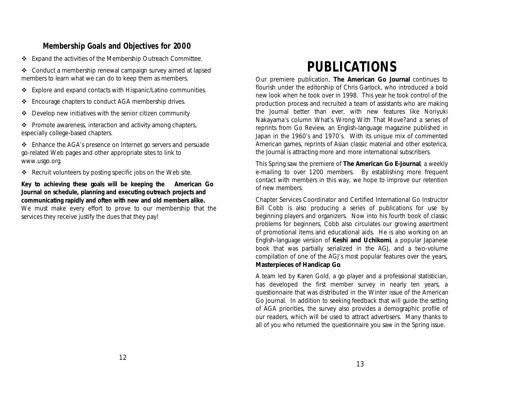### **Membership Goals and Objectives for 2000**

v Expand the activities of the Membership Outreach Committee.

\* Conduct a membership renewal campaign survey aimed at lapsed members to learn what we can do to keep them as members.

- $\div$  Explore and expand contacts with Hispanic/Latino communities.
- v Encourage chapters to conduct AGA membership drives.
- $\div$  Develop new initiatives with the senior citizen community

 $\triangle$  Promote awareness, interaction and activity among chapters, especially college-based chapters.

 $\div$  Enhance the AGA's presence on Internet go servers and persuade go-related Web pages and other appropriate sites to link to *www.usgo.org*.

 $\triangleleft$  Recruit volunteers by posting specific jobs on the Web site.

**Key to achieving these goals will be keeping the** *American Go Journal* **on schedule, planning and executing outreach projects and communicating rapidly and often with new and old members alike.**

*We must make every effort to prove to our membership that the services they receive justify the dues that they pay!*

# **PUBLICATIONS**

Our premiere publication, *The American Go Journal* continues to flourish under the editorship of Chris Garlock, who introduced a bold new look when he took over in 1998. This year he took control of the production process and recruited a team of assistants who are making the *Journal* better than ever, with new features like Noriyuki Nakayama's column *What's Wrong With That Move?* and a series of reprints from *Go Review*, an English-language magazine published in Japan in the 1960's and 1970's. With its unique mix of commented American games, reprints of Asian classic material and other esoterica, the *Journal* is attracting more and more international subscribers.

This Spring saw the premiere of *The American Go E-Journal*, a weekly e-mailing to over 1200 members. By establishing more frequent contact with members in this way, we hope to improve our retention of new members.

Chapter Services Coordinator and Certified International Go Instructor Bill Cobb is also producing a series of publications for use by beginning players and organizers. Now into his fourth book of classic problems for beginners, Cobb also circulates our growing assortment of promotional items and educational aids. He is also working on an English-language version of *Keshi and Uchikomi*, a popular Japanese book that was partially serialized in the *AGJ*, and a two-volume compilation of one of the *AGJ's* most popular features over the years, *Masterpieces of Handicap Go*.

A team led by Karen Gold, a go player and a professional statistician, has developed the first member survey in nearly ten years, a questionnaire that was distributed in the Winter issue of the *American Go Journal*. In addition to seeking feedback that will guide the setting of AGA priorities, the survey also provides a demographic profile of our readers, which will be used to attract advertisers. Many thanks to all of you who returned the questionnaire you saw in the Spring issue.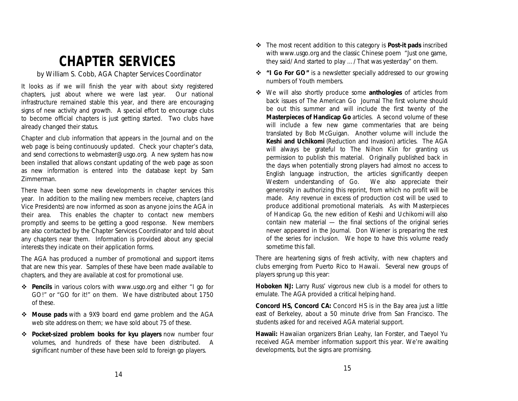# **CHAPTER SERVICES**

*by William S. Cobb, AGA Chapter Services Coordinator*

It looks as if we will finish the year with about sixty registered chapters, just about where we were last year. Our national infrastructure remained stable this year, and there are encouraging signs of new activity and growth. A special effort to encourage clubs to become official chapters is just getting started. Two clubs have already changed their status.

Chapter and club information that appears in the *Journal* and on the web page is being continuously updated. Check your chapter's data, and send corrections to webmaster@usgo.org. A new system has now been installed that allows constant updating of the web page as soon as new information is entered into the database kept by Sam Zimmerman.

There have been some new developments in chapter services this year. In addition to the mailing new members receive, chapters (and Vice Presidents) are now informed as soon as anyone joins the AGA in their area. This enables the chapter to contact new members promptly and seems to be getting a good response. New members are also contacted by the Chapter Services Coordinator and told about any chapters near them. Information is provided about any special interests they indicate on their application forms.

The AGA has produced a number of promotional and support items that are new this year. Samples of these have been made available to chapters, and they are available at cost for promotional use.

- v *Pencils* in various colors with www.usgo.org and either "I go for GO!" or "GO for it!" on them. We have distributed about 1750 of these.
- **EXECUTE:** Mouse pads with a 9X9 board end game problem and the AGA web site address on them; we have sold about 75 of these.
- v *Pocket-sized problem books for kyu players* now number four volumes, and hundreds of these have been distributed. A significant number of these have been sold to foreign go players.
- v The most recent addition to this category is *Post-it pads* inscribed with www.usgo.org and the classic Chinese poem "Just one game, they said/ And started to play …/ That was yesterday" on them.
- v *"I Go For GO"* is a newsletter specially addressed to our growing numbers of Youth members.
- v We will also shortly produce some *anthologies* of articles from back issues of *The American Go Journal*. The first volume should be out this summer and will include the first twenty of the *Masterpieces of Handicap Go* articles. A second volume of these will include a few new game commentaries that are being translated by Bob McGuigan. Another volume will include the *Keshi and Uchikomi* (Reduction and Invasion) articles. The AGA will always be grateful to The Nihon Kiin for granting us permission to publish this material. Originally published back in the days when potentially strong players had almost no access to English language instruction, the articles significantly deepen Western understanding of Go. We also appreciate their generosity in authorizing this reprint, from which no profit will be made. Any revenue in excess of production cost will be used to produce additional promotional materials. As with *Masterpieces of Handicap Go*, the new edition of *Keshi and Uchikomi* will also contain new material — the final sections of the original series never appeared in the *Journal*. Don Wiener is preparing the rest of the series for inclusion. We hope to have this volume ready sometime this fall.

There are heartening signs of fresh activity, with new chapters and clubs emerging from Puerto Rico to Hawaii. Several new groups of players sprung up this year:

*Hoboken NJ:* Larry Russ' vigorous new club is a model for others to emulate. The AGA provided a critical helping hand.

*Concord HS, Concord CA:* Concord HS is in the Bay area just a little east of Berkeley, about a 50 minute drive from San Francisco. The students asked for and received AGA material support.

*Hawaii:* Hawaiian organizers Brian Leahy, Ian Forster, and Taeyol Yu received AGA member information support this year. We're awaiting developments, but the signs are promising.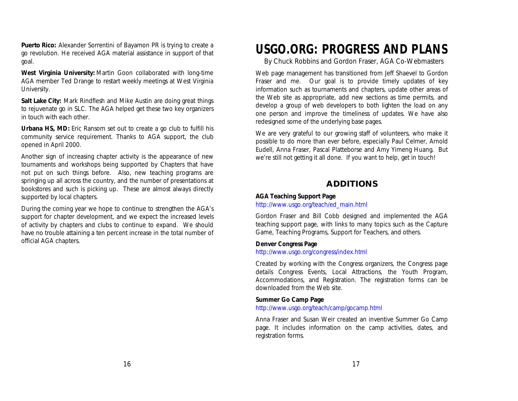**Puerto Rico:** Alexander Sorrentini of Bayamon PR is trying to create a go revolution. He received AGA material assistance in support of that goal.

*West Virginia University:* Martin Goon collaborated with long-time AGA member Ted Drange to restart weekly meetings at West Virginia University.

*Salt Lake City:* Mark Rindflesh and Mike Austin are doing great things to rejuvenate go in SLC. The AGA helped get these two key organizers in touch with each other.

*Urbana HS, MD:* Eric Ransom set out to create a go club to fulfill his community service requirement. Thanks to AGA support, the club opened in April 2000.

Another sign of increasing chapter activity is the appearance of new tournaments and workshops being supported by Chapters that have not put on such things before. Also, new teaching programs are springing up all across the country, and the number of presentations at bookstores and such is picking up. These are almost always directly supported by local chapters.

During the coming year we hope to continue to strengthen the AGA's support for chapter development, and we expect the increased levels of activity by chapters and clubs to continue to expand. We should have no trouble attaining a ten percent increase in the total number of official AGA chapters.

## **USGO.ORG: PROGRESS AND PLANS**

*By Chuck Robbins and Gordon Fraser, AGA Co-Webmasters*

Web page management has transitioned from Jeff Shaevel to Gordon Fraser and me. Our goal is to provide timely updates of key information such as tournaments and chapters, update other areas of the Web site as appropriate, add new sections as time permits, and develop a group of web developers to both lighten the load on any one person and improve the timeliness of updates. We have also redesigned some of the underlying base pages.

We are very grateful to our growing staff of volunteers, who make it possible to do more than ever before, especially Paul Celmer, Arnold Eudell, Anna Fraser, Pascal Platteborse and Amy Yimeng Huang. But we're still not getting it all done. If you want to help, get in touch!

## **ADDITIONS**

#### *AGA Teaching Support Page*

*http://www.usgo.org/teach/ed\_main.html*

Gordon Fraser and Bill Cobb designed and implemented the AGA teaching support page, with links to many topics such as the Capture Game, Teaching Programs, Support for Teachers, and others.

#### *Denver* **Congress Page**

*http://www.usgo.org/congress/index.html*

Created by working with the Congress organizers, the Congress page details Congress Events, Local Attractions, the Youth Program, Accommodations, and Registration. The registration forms can be downloaded from the Web site.

#### *Summer Go Camp Page*

*http://www.usgo.org/teach/camp/gocamp.html*

Anna Fraser and Susan Weir created an inventive Summer Go Camp page. It includes information on the camp activities, dates, and registration forms.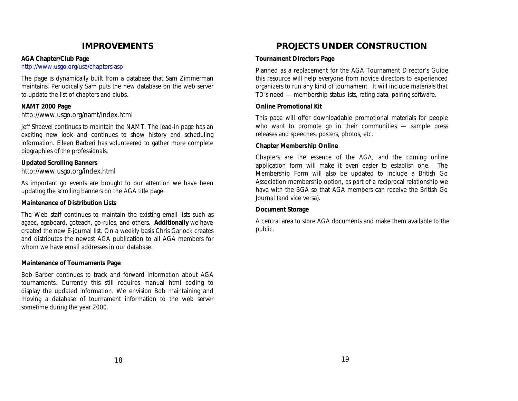## **IMPROVEMENTS**

#### *AGA Chapter/Club Page*

*http://www.usgo.org/usa/chapters.asp*

The page is dynamically built from a database that Sam Zimmerman maintains. Periodically Sam puts the new database on the web server to update the list of chapters and clubs.

#### *NAMT 2000 Page*

*http://www.usgo.org/namt/index.html*

Jeff Shaevel continues to maintain the NAMT. The lead-in page has an exciting new look and continues to show history and scheduling information. Eileen Barberi has volunteered to gather more complete biographies of the professionals.

#### *Updated Scrolling Banners*

*http://www.usgo.org/index.html*

As important go events are brought to our attention we have been updating the scrolling banners on the AGA title page.

#### *Maintenance of Distribution Lists*

The Web staff continues to maintain the existing email lists such as agaec, agaboard, goteach, go-rules, and others. *Additionally* we have created the new E-journal list. On a weekly basis Chris Garlock creates and distributes the newest AGA publication to all AGA members for whom we have email addresses in our database.

#### *Maintenance of Tournaments Page*

Bob Barber continues to track and forward information about AGA tournaments. Currently this still requires manual html coding to display the updated information. We envision Bob maintaining and moving a database of tournament information to the web server sometime during the year 2000.

## **PROJECTS UNDER CONSTRUCTION**

#### *Tournament Directors Page*

Planned as a replacement for the *AGA Tournament Director's Guide*, this resource will help everyone from novice directors to experienced organizers to run any kind of tournament. It will include materials that TD's need — membership status lists, rating data, pairing software.

#### *Online Promotional Kit*

This page will offer downloadable promotional materials for people who want to promote go in their communities — sample press releases and speeches, posters, photos, etc.

#### *Chapter Membership Online*

Chapters are the essence of the AGA, and the coming online application form will make it even easier to establish one. The Membership Form will also be updated to include a British Go Association membership option, as part of a reciprocal relationship we have with the BGA so that AGA members can receive the British Go Journal (and vice versa).

#### *Document Storage*

A central area to store AGA documents and make them available to the public.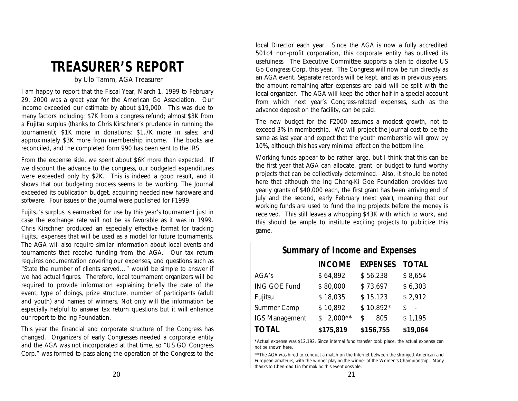## **TREASURER'S REPORT**

#### *by Ulo Tamm, AGA Treasurer*

I am happy to report that the Fiscal Year, March 1, 1999 to February 29, 2000 was a great year for the American Go Association. Our income exceeded our estimate by about \$19,000. This was due to many factors including: \$7K from a congress refund; almost \$3K from a Fujitsu surplus (thanks to Chris Kirschner's prudence in running the tournament); \$1K more in donations; \$1.7K more in sales; and approximately \$3K more from membership income. The books are reconciled, and the completed form 990 has been sent to the IRS.

From the expense side, we spent about \$6K more than expected. If we discount the advance to the congress, our budgeted expenditures were exceeded only by \$2K. This is indeed a good result, and it shows that our budgeting process seems to be working. The *Journal* exceeded its publication budget, acquiring needed new hardware and software. Four issues of the *Journal* were published for F1999.

Fujitsu's surplus is earmarked for use by this year's tournament just in case the exchange rate will not be as favorable as it was in 1999. Chris Kirschner produced an especially effective format for tracking Fujitsu expenses that will be used as a model for future tournaments. The AGA will also require similar information about local events and tournaments that receive funding from the AGA. Our tax return requires documentation covering our expenses, and questions such as "State the number of clients served…" would be simple to answer if we had actual figures. Therefore, local tournament organizers will be required to provide information explaining briefly the date of the event, type of doings, prize structure, number of participants (adult and youth) and names of winners. Not only will the information be especially helpful to answer tax return questions but it will enhance our report to the Ing Foundation.

This year the financial and corporate structure of the Congress has changed. Organizers of early Congresses needed a corporate entity and the AGA was not incorporated at that time, so "US GO Congress Corp." was formed to pass along the operation of the Congress to the local Director each year. Since the AGA is now a fully accredited 501c4 non-profit corporation, this corporate entity has outlived its usefulness. The Executive Committee supports a plan to dissolve US Go Congress Corp. this year. The Congress will now be run directly as an AGA event. Separate records will be kept, and as in previous years, the amount remaining after expenses are paid will be split with the local organizer. The AGA will keep the other half in a special account from which next year's Congress-related expenses, such as the advance deposit on the facility, can be paid.

The new budget for the F2000 assumes a modest growth, not to exceed 3% in membership. We will project the *Journal* cost to be the same as last year and expect that the youth membership will grow by 10%, although this has very minimal effect on the bottom line.

Working funds appear to be rather large, but I think that this can be the first year that AGA can allocate, grant, or budget to fund worthy projects that can be collectively determined. Also, it should be noted here that although the Ing Chang-Ki Goe Foundation provides two yearly grants of \$40,000 each, the first grant has been arriving end of July and the second, early February (next year), meaning that our working funds are used to fund the Ing projects before the money is received. This still leaves a whopping \$43K with which to work, and this should be ample to institute exciting projects to publicize this game.

| <b>Summary of Income and Expenses</b>              |                |            |         |  |  |  |  |  |
|----------------------------------------------------|----------------|------------|---------|--|--|--|--|--|
| <b>TOTAL</b><br><b>EXPENSES</b><br><b>INCOME</b>   |                |            |         |  |  |  |  |  |
| AGA's                                              | \$64,892       | \$56,238   | \$8,654 |  |  |  |  |  |
| <b>ING GOE Fund</b>                                | \$80,000       | \$73,697   | \$6,303 |  |  |  |  |  |
| Fujitsu                                            | \$18,035       | \$15,123   | \$2,912 |  |  |  |  |  |
| <b>Summer Camp</b>                                 | \$10,892       | $$10,892*$ | Ś       |  |  |  |  |  |
| <b>IGS Management</b>                              | $2,000**$<br>S | 805<br>S   | \$1,195 |  |  |  |  |  |
| <b>TOTAL</b><br>\$156,755<br>\$19,064<br>\$175,819 |                |            |         |  |  |  |  |  |

\*Actual expense was \$12,192. Since internal fund transfer took place, the actual expense can not be shown here.

\*\*The AGA was hired to conduct a match on the Internet between the strongest American and European amateurs, with the winner playing the winner of the Women's Championship. Many thanks to Chen-dao Lin for making this event possible.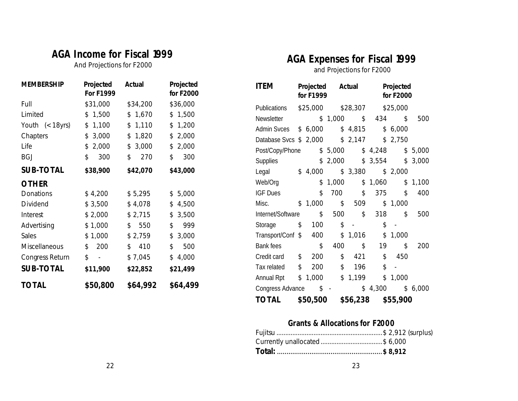## **AGA Income for Fiscal 1999**

*And Projections for F2000*

| <b>MEMBERSHIP</b>      | Projected<br><b>For F1999</b>      | <b>Actual</b> | <b>Projected</b><br>for <b>F2000</b> |
|------------------------|------------------------------------|---------------|--------------------------------------|
| Full                   | \$31,000                           | \$34,200      | \$36,000                             |
| Limited                | 1,500<br>\$                        | 1,670<br>\$   | \$1,500                              |
| Youth $(< 18yrs)$      | 1,100<br>\$                        | 1,110<br>\$   | 1,200<br>\$                          |
| <b>Chapters</b>        | 3,000<br>\$                        | 1,820<br>\$   | 2,000<br>\$                          |
| Life                   | 2,000<br>\$                        | 3,000<br>\$   | 2,000<br>\$                          |
| <b>BGJ</b>             | $\mathsf S$<br>300                 | \$<br>270     | Ś<br>300                             |
| <b>SUB-TOTAL</b>       | \$38,900                           | \$42,070      | \$43,000                             |
| <b>OTHER</b>           |                                    |               |                                      |
| <b>Donations</b>       | \$4,200                            | \$5,295       | \$5,000                              |
| <b>Dividend</b>        | \$3,500                            | \$4,078       | 4,500<br>\$                          |
| <b>Interest</b>        | \$2,000                            | \$2,715       | 3,500<br>\$                          |
| Advertising            | \$1,000                            | 550<br>\$     | \$<br>999                            |
| <b>Sales</b>           | \$1,000                            | \$2,759       | \$<br>3,000                          |
| <b>Miscellaneous</b>   | 200<br>\$                          | \$<br>410     | \$<br>500                            |
| <b>Congress Return</b> | \$<br>$\qquad \qquad \blacksquare$ | \$7,045       | 4,000<br>\$                          |
| <b>SUB-TOTAL</b>       | \$11,900                           | \$22,852      | \$21,499                             |
| <b>TOTAL</b>           | \$50,800                           | \$64,992      | \$64,499                             |

## **AGA Expenses for Fiscal 1999**

*and Projections for F2000*

| ctual           | Projected<br>for <b>F2000</b> | <b>ITEM</b>            | <b>Projected</b><br>for <b>F1999</b> |                           | <b>Actual</b> |                           | <b>Projected</b><br>for <b>F2000</b> |         |
|-----------------|-------------------------------|------------------------|--------------------------------------|---------------------------|---------------|---------------------------|--------------------------------------|---------|
| \$34,200        | \$36,000                      | Publications           | \$25,000                             |                           | \$28,307      |                           | \$25,000                             |         |
| \$1,670         | \$1,500                       | Newsletter             |                                      | \$1,000                   | \$            | 434                       | \$                                   | 500     |
| \$1,110         | \$1,200                       | <b>Admin Svces</b>     | \$6,000                              |                           | \$4,815       |                           | \$6,000                              |         |
| \$1,820         | \$2,000                       | Database Svcs \$ 2,000 |                                      |                           | \$2,147       |                           | \$2,750                              |         |
| \$3,000         | \$2,000                       | Post/Copy/Phone        |                                      | \$5,000                   |               | \$4,248                   |                                      | \$5,000 |
| $\frac{270}{ }$ | 300<br>\$                     | Supplies               |                                      | \$2,000                   |               | \$3,554                   |                                      | \$3,000 |
| \$42,070        | \$43,000                      | Legal                  | \$4,000                              |                           | \$3,380       |                           | \$2,000                              |         |
|                 |                               | Web/Org                |                                      | \$1,000                   |               | \$1,060                   |                                      | \$1,100 |
| \$5,295         | \$5,000                       | <b>IGF Dues</b>        | $\mathsf{S}$                         | 700                       | \$            | 375                       | $\mathsf{\hat{S}}$                   | 400     |
| \$4,078         | \$4,500                       | Misc.                  | \$1,000                              | \$                        | 509           |                           | \$1,000                              |         |
| \$2,715         | \$3,500                       | Internet/Software      | $\mathcal{S}$                        | 500                       | \$            | 318                       | \$                                   | 500     |
| \$550           | 999<br>\$                     | Storage                | \$<br>100                            | $\boldsymbol{\mathsf{S}}$ | $\sim$        | $\boldsymbol{\mathsf{S}}$ | $\mathcal{L}_{\mathcal{A}}$          |         |
| \$2,759         | \$3,000                       | Transport/Conf \$      | 400                                  |                           | \$1,016       | \$                        | 1,000                                |         |
| \$410           | 500<br>\$                     | Bank fees              | \$                                   | 400                       | \$            | 19                        | \$                                   | 200     |
| \$7,045         | \$4,000                       | Credit card            | \$<br>200                            | \$                        | 421           | $\mathsf{\hat{S}}$        | 450                                  |         |
| \$22,852        | \$21,499                      | Tax related            | \$<br>200                            | \$                        | 196           | \$                        | $\blacksquare$                       |         |
|                 |                               | Annual Rpt             | \$1,000                              |                           | \$1,199       | \$                        | 1,000                                |         |
| \$64,992        | \$64,499                      | Congress Advance       | $S -$                                |                           |               | \$4,300                   |                                      | \$6,000 |
|                 |                               | <b>TOTAL</b>           | \$50,500                             |                           | \$56,238      |                           | \$55,900                             |         |

## **Grants & Allocations for F2000**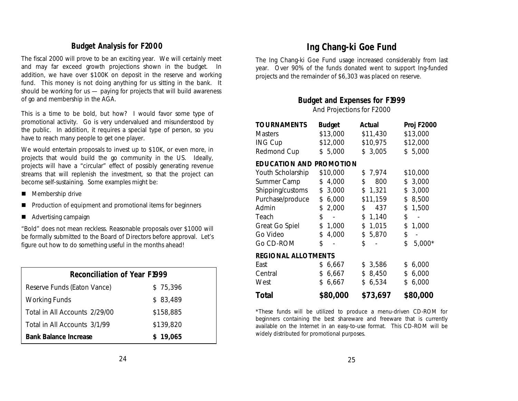### **Budget Analysis for F2000**

The fiscal 2000 will prove to be an exciting year. We will certainly meet and may far exceed growth projections shown in the budget. In addition, we have over \$100K on deposit in the reserve and working fund. This money is not doing anything for us sitting in the bank. It should be working for us — paying for projects that will build awareness of go and membership in the AGA.

This is a time to be bold, but how? I would favor some type of promotional activity. Go is very undervalued and misunderstood by the public. In addition, it requires a special type of person, so you have to reach many people to get one player.

We would entertain proposals to invest up to \$10K, or even more, in projects that would build the go community in the US. Ideally, projects will have a "circular" effect of possibly generating revenue streams that will replenish the investment, so that the project can become self-sustaining. Some examples might be:

- $\blacksquare$  Membership drive
- Production of equipment and promotional items for beginners
- Advertising campaign

"Bold" does not mean reckless. Reasonable proposals over \$1000 will be formally submitted to the Board of Directors before approval. Let's figure out how to do something useful in the months ahead!

| <b>Reconciliation of Year F1999</b> |           |  |  |  |  |  |
|-------------------------------------|-----------|--|--|--|--|--|
| Reserve Funds (Eaton Vance)         | \$75,396  |  |  |  |  |  |
| <b>Working Funds</b>                | \$83,489  |  |  |  |  |  |
| Total in All Accounts 2/29/00       | \$158,885 |  |  |  |  |  |
| Total in All Accounts 3/1/99        | \$139,820 |  |  |  |  |  |
| <b>Bank Balance Increase</b>        | \$19,065  |  |  |  |  |  |

## **Ing Chang-ki Goe Fund**

The Ing Chang-ki Goe Fund usage increased considerably from last year. Over 90% of the funds donated went to support Ing-funded projects and the remainder of \$6,303 was placed on reserve.

### **Budget and Expenses for F1999**

And Projections for F2000

| <b>TOURNAMENTS</b>             | <b>Budget</b> | <b>Actual</b> | <b>Proj F2000</b> |
|--------------------------------|---------------|---------------|-------------------|
| <b>Masters</b>                 | \$13,000      | \$11,430      | \$13,000          |
| <b>ING Cup</b>                 | \$12,000      | \$10,975      | \$12,000          |
| <b>Redmond Cup</b>             | \$5,000       | \$3,005       | \$5,000           |
| <b>EDUCATION AND PROMOTION</b> |               |               |                   |
| <b>Youth Scholarship</b>       | \$10,000      | \$7,974       | \$10,000          |
| <b>Summer Camp</b>             | 4,000<br>\$   | \$<br>800     | 3,000<br>\$       |
| Shipping/customs               | 3,000<br>\$   | 1,321<br>\$   | 3,000<br>\$       |
| Purchase/produce               | 6,000<br>\$   | \$11,159      | 8,500<br>\$       |
| Admin                          | \$<br>2,000   | \$<br>437     | \$<br>1,500       |
| Teach                          | \$            | 1,140<br>\$   | \$                |
| <b>Great Go Spiel</b>          | \$<br>1,000   | 1,015<br>\$   | \$<br>1,000       |
| Go Video                       | \$<br>4,000   | 5,870<br>\$   | \$                |
| Go CD-ROM                      | \$            | Ś             | \$<br>5,000*      |
| <b>REGIONAL ALLOTMENTS</b>     |               |               |                   |
| East                           | \$<br>6,667   | \$3,586       | 6,000<br>\$       |
| Central                        | 6,667<br>\$   | \$8,450       | 6,000<br>\$       |
| West                           | \$<br>6,667   | \$6,534       | \$<br>6,000       |
| Total                          | \$80,000      | \$73,697      | \$80,000          |

\*These funds will be utilized to produce a menu-driven CD-ROM for beginners containing the best shareware and freeware that is currently available on the Internet in an easy-to-use format. This CD-ROM will be widely distributed for promotional purposes.